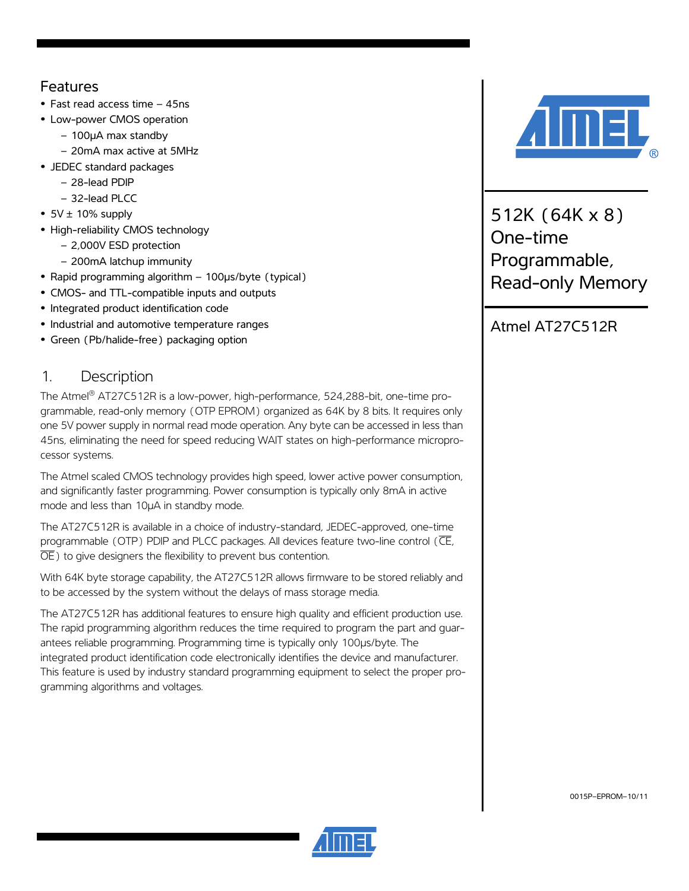## Features

- **•** Fast read access time 45ns
- **•** Low-power CMOS operation
	- 100µA max standby
	- 20mA max active at 5MHz
- **•** JEDEC standard packages
	- 28-lead PDIP
	- 32-lead PLCC
- **•** 5V ± 10% supply
- **•** High-reliability CMOS technology
	- 2,000V ESD protection
	- 200mA latchup immunity
- **•** Rapid programming algorithm 100µs/byte (typical)
- **•** CMOS- and TTL-compatible inputs and outputs
- **•** Integrated product identification code
- **•** Industrial and automotive temperature ranges
- **•** Green (Pb/halide-free) packaging option

## 1. Description

The Atmel® AT27C512R is a low-power, high-performance, 524,288-bit, one-time programmable, read-only memory (OTP EPROM) organized as 64K by 8 bits. It requires only one 5V power supply in normal read mode operation. Any byte can be accessed in less than 45ns, eliminating the need for speed reducing WAIT states on high-performance microprocessor systems.

The Atmel scaled CMOS technology provides high speed, lower active power consumption, and significantly faster programming. Power consumption is typically only 8mA in active mode and less than 10µA in standby mode.

The AT27C512R is available in a choice of industry-standard, JEDEC-approved, one-time programmable (OTP) PDIP and PLCC packages. All devices feature two-line control (CE,  $\overline{OE}$ ) to give designers the flexibility to prevent bus contention.

With 64K byte storage capability, the AT27C512R allows firmware to be stored reliably and to be accessed by the system without the delays of mass storage media.

The AT27C512R has additional features to ensure high quality and efficient production use. The rapid programming algorithm reduces the time required to program the part and guarantees reliable programming. Programming time is typically only 100µs/byte. The integrated product identification code electronically identifies the device and manufacturer. This feature is used by industry standard programming equipment to select the proper programming algorithms and voltages.



512K (64K x 8) One-time Programmable, Read-only Memory

Atmel AT27C512R



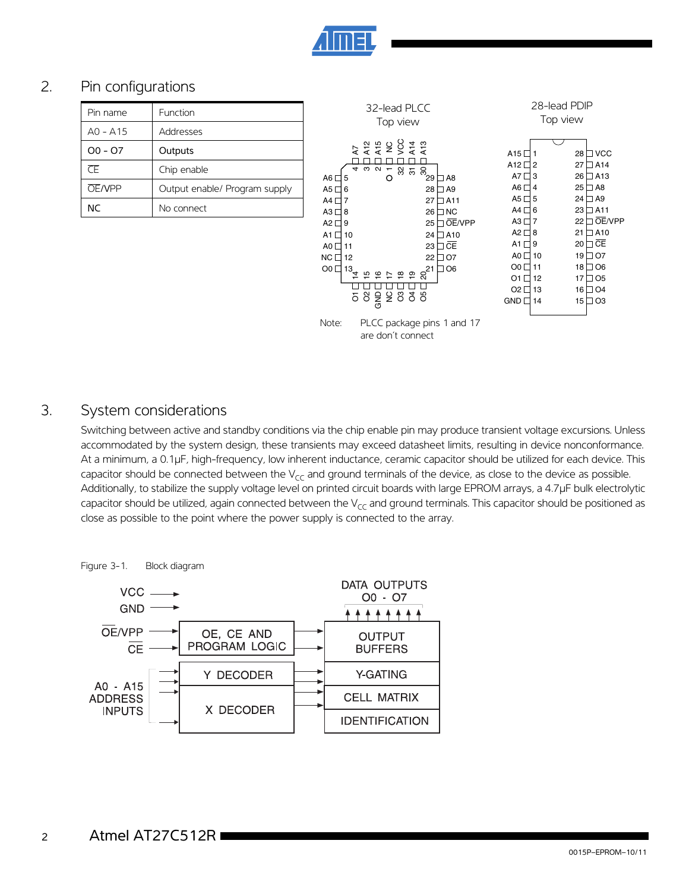

## 2. Pin configurations

| Pin name                                     | Function                      |
|----------------------------------------------|-------------------------------|
| $AO - A15$                                   | Addresses                     |
| $OO - O7$                                    | Outputs                       |
| $\overline{\overline{\mathsf{C}}\mathsf{F}}$ | Chip enable                   |
| <b>OE/VPP</b>                                | Output enable/ Program supply |
| ΝC                                           | No connect                    |



are don't connect

### 3. System considerations

Switching between active and standby conditions via the chip enable pin may produce transient voltage excursions. Unless accommodated by the system design, these transients may exceed datasheet limits, resulting in device nonconformance. At a minimum, a 0.1µF, high-frequency, low inherent inductance, ceramic capacitor should be utilized for each device. This capacitor should be connected between the  $V_{CC}$  and ground terminals of the device, as close to the device as possible. Additionally, to stabilize the supply voltage level on printed circuit boards with large EPROM arrays, a 4.7µF bulk electrolytic capacitor should be utilized, again connected between the  $V_{CC}$  and ground terminals. This capacitor should be positioned as close as possible to the point where the power supply is connected to the array.



Figure 3-1. Block diagram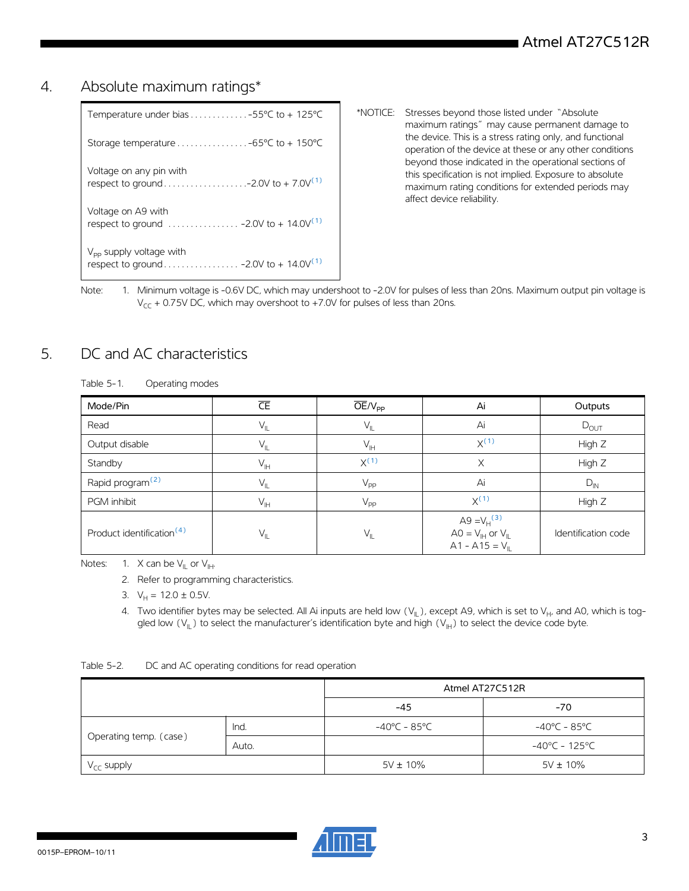### 4. Absolute maximum ratings\*

- \*NOTICE: Stresses beyond those listed under "Absolute maximum ratings" may cause permanent damage to the device. This is a stress rating only, and functional operation of the device at these or any other conditions beyond those indicated in the operational sections of this specification is not implied. Exposure to absolute maximum rating conditions for extended periods may affect device reliability.
- <span id="page-2-0"></span>Note: 1. Minimum voltage is -0.6V DC, which may undershoot to -2.0V for pulses of less than 20ns. Maximum output pin voltage is  $V_{CC}$  + 0.75V DC, which may overshoot to +7.0V for pulses of less than 20ns.

## 5. DC and AC characteristics

Table 5-1. Operating modes

| Mode/Pin                              | $\overline{\mathsf{CE}}$ | $\overline{\text{OE}}/V_{\text{pp}}$   | Ai                                                                                       | Outputs             |
|---------------------------------------|--------------------------|----------------------------------------|------------------------------------------------------------------------------------------|---------------------|
| Read                                  | $V_{IL}$                 | $\vee_{\scriptscriptstyle\mathsf{IL}}$ | Ai                                                                                       | $D_{\text{OUT}}$    |
| Output disable                        | $V_{IL}$                 | $V_{\vert H}$                          | $X^{(1)}$                                                                                | High Z              |
| Standby                               | $V_{\text{IH}}$          | $X^{(1)}$                              | Χ                                                                                        | High Z              |
| Rapid program <sup>(2)</sup>          | $V_{IL}$                 | $V_{\text{PP}}$                        | Ai                                                                                       | $D_{IN}$            |
| PGM inhibit                           | $V_{\vert H}$            | $V_{PP}$                               | $X^{(1)}$                                                                                | High Z              |
| Product identification <sup>(4)</sup> | $V_{IL}$                 | $V_{\parallel}$                        | A9 = $V_H^{(3)}$<br>$AO = V_{\text{H}}$ or $V_{\text{II}}$<br>$A1 - A15 = V_{\parallel}$ | Identification code |

<span id="page-2-4"></span><span id="page-2-2"></span><span id="page-2-1"></span>Notes: 1. X can be  $V_{II}$  or  $V_{III}$ .

2. Refer to programming characteristics.

- 3.  $V_H = 12.0 \pm 0.5V$ .
- <span id="page-2-3"></span>4. Two identifier bytes may be selected. All Ai inputs are held low  $(V_{\parallel})$ , except A9, which is set to  $V_{H'}$  and A0, which is toggled low  $(V_{II})$  to select the manufacturer's identification byte and high  $(V_{II})$  to select the device code byte.

| Table 5-2. | DC and AC operating conditions for read operation |  |  |
|------------|---------------------------------------------------|--|--|
|            |                                                   |  |  |

|                        |       | Atmel AT27C512R |               |  |  |
|------------------------|-------|-----------------|---------------|--|--|
|                        |       | $-45$           | $-70$         |  |  |
| Operating temp. (case) | Ind.  | -40°C - 85°C    | -40°C - 85°C  |  |  |
|                        | Auto. |                 | -40°C - 125°C |  |  |
| $V_{CC}$ supply        |       | $5V \pm 10\%$   | $5V \pm 10\%$ |  |  |

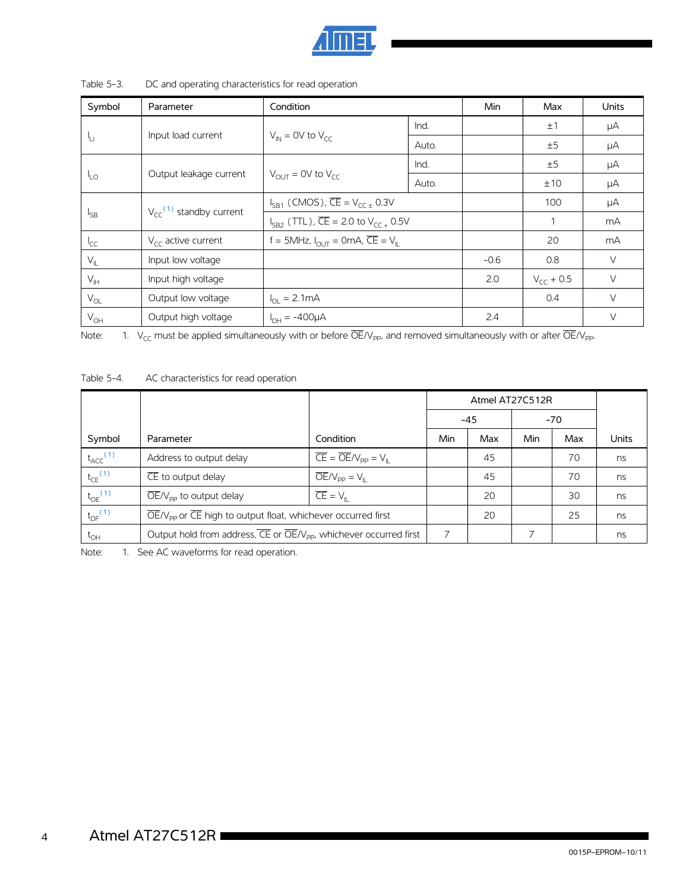

| Symbol          | Parameter                               | Condition                                                 |       | Min    | Max            | <b>Units</b> |
|-----------------|-----------------------------------------|-----------------------------------------------------------|-------|--------|----------------|--------------|
|                 |                                         |                                                           | Ind.  |        | ±1             | μA           |
| 41              | Input load current                      | $V_{IN}$ = 0V to $V_{CC}$                                 | Auto. |        | ±5             | μA           |
|                 |                                         |                                                           | Ind.  |        | ±5             | μA           |
| <sup>I</sup> LO | Output leakage current                  | $V_{OUT}$ = 0V to $V_{CC}$                                | Auto. |        | ±10            | μA           |
|                 |                                         | $I_{SP1}$ (CMOS), $\overline{CE} = V_{CC} + 0.3V$         |       |        | 100            | μA           |
| $I_{SB}$        | $V_{cc}$ <sup>(1)</sup> standby current | $I_{SP2}$ (TTL), $\overline{CE}$ = 2.0 to $V_{CC}$ + 0.5V |       |        | 1              | mA           |
| $I_{CC}$        | $V_{\text{CC}}$ active current          | $f = 5MHz$ , $I_{OUT} = 0mA$ , $\overline{CE} = V_{II}$   |       |        | 20             | mA           |
| $V_{\parallel}$ | Input low voltage                       |                                                           |       | $-0.6$ | 0.8            | $\vee$       |
| $V_{\text{IH}}$ | Input high voltage                      |                                                           |       | 2.0    | $V_{cc}$ + 0.5 | $\vee$       |
| $V_{OL}$        | Output low voltage                      | $I_{\Omega} = 2.1 \text{mA}$                              |       |        | 0.4            | $\vee$       |
| $V_{OH}$        | Output high voltage                     | $I_{OH} = -400 \mu A$                                     |       | 2.4    |                | $\vee$       |

Table 5-3. DC and operating characteristics for read operation

<span id="page-3-0"></span>Note: 1.  $V_{CC}$  must be applied simultaneously with or before  $\overline{OE}/V_{PP}$ , and removed simultaneously with or after  $\overline{OE}/V_{PP}$ .

Table 5-4. AC characteristics for read operation

|                          |                                                                                                 |                                                                                                       | Atmel AT27C512R |     |       |     |       |
|--------------------------|-------------------------------------------------------------------------------------------------|-------------------------------------------------------------------------------------------------------|-----------------|-----|-------|-----|-------|
|                          |                                                                                                 |                                                                                                       | $-45$           |     | $-70$ |     |       |
| Symbol                   | Parameter                                                                                       | Condition                                                                                             | Min             | Max | Min   | Max | Units |
| $t_{ACC}$ <sup>(1)</sup> | Address to output delay                                                                         | $\overline{\mathsf{CE}} = \overline{\mathsf{OE}}/\mathsf{V}_{\mathsf{PP}} = \mathsf{V}_{\mathsf{IL}}$ |                 | 45  |       | 70  | ns    |
| $t_{CE}$ <sup>(1)</sup>  | $\overline{\mathsf{CE}}$ to output delay                                                        | $\overline{OE}/V_{\text{pp}} = V_{\parallel}$                                                         |                 | 45  |       | 70  | ns    |
| $t_{OE}$ <sup>(1)</sup>  | $\overline{OE}/V_{\text{pp}}$ to output delay                                                   | $\overline{CE} = V_{\parallel}$                                                                       |                 | 20  |       | 30  | ns    |
| $t_{DF}$ <sup>(1)</sup>  | $\overline{OE}/V_{\text{pp}}$ or $\overline{CE}$ high to output float, whichever occurred first |                                                                                                       |                 | 20  |       | 25  | ns    |
| $t_{\text{OH}}$          | Output hold from address, CE or OE/V <sub>pp</sub> , whichever occurred first                   |                                                                                                       | 7               |     |       |     | ns    |

<span id="page-3-1"></span>Note: 1. See AC waveforms for read operation.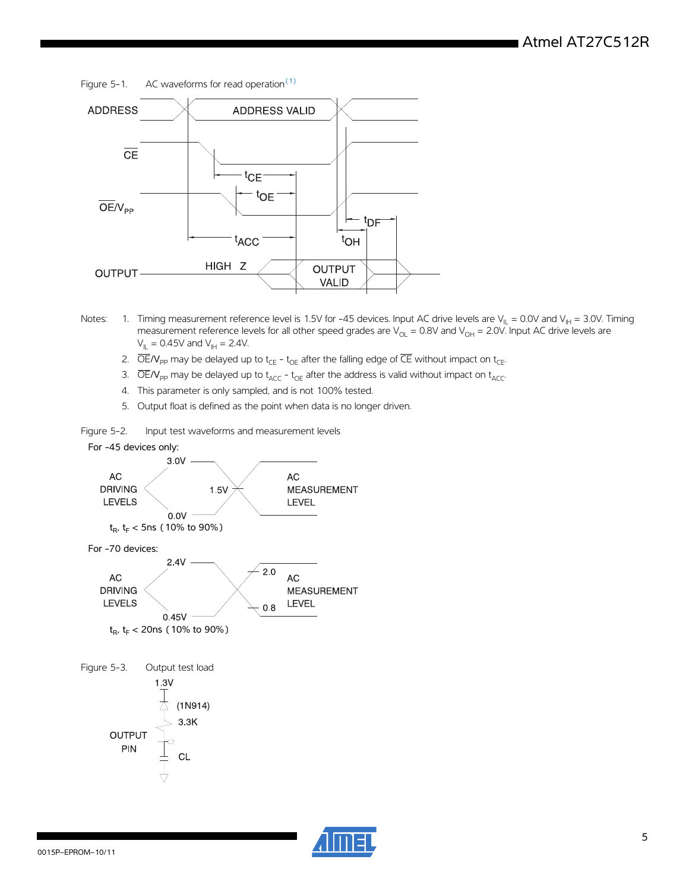Figure 5-1. AC waveforms for read operation $<sup>(1)</sup>$  $<sup>(1)</sup>$  $<sup>(1)</sup>$ </sup>



- <span id="page-4-0"></span>Notes: 1. Timing measurement reference level is 1.5V for -45 devices. Input AC drive levels are V<sub>IL</sub> = 0.0V and V<sub>IH</sub> = 3.0V. Timing measurement reference levels for all other speed grades are  $V_{\rm OL}$  = 0.8V and  $V_{\rm OH}$  = 2.0V. Input AC drive levels are  $V_{\parallel} = 0.45V$  and  $V_{\parallel} = 2.4V$ .
	- 2.  $\overline{OE}/V_{PP}$  may be delayed up to t<sub>CE</sub> t<sub>OE</sub> after the falling edge of  $\overline{CE}$  without impact on t<sub>CE</sub>.
	- 3.  $\overline{OE}/V_{PP}$  may be delayed up to  $t_{ACC}$   $t_{OE}$  after the address is valid without impact on  $t_{ACC}$ .
	- 4. This parameter is only sampled, and is not 100% tested.
	- 5. Output float is defined as the point when data is no longer driven.

Figure 5-2. Input test waveforms and measurement levels

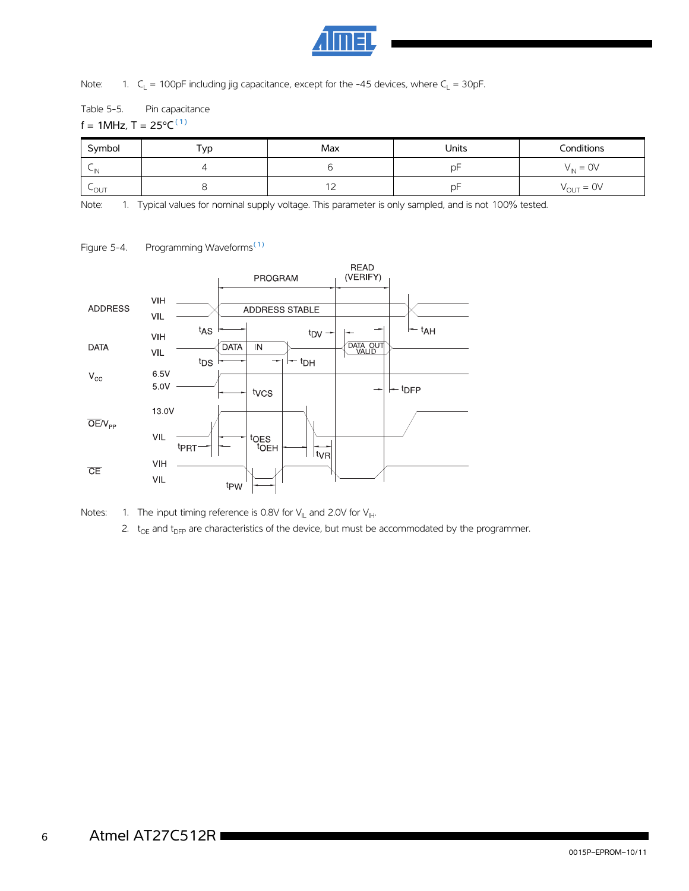

Note: 1.  $C_L = 100pF$  including jig capacitance, except for the -45 devices, where  $C_L = 30pF$ .

Table 5-5. Pin capacitance

f = 1MHz,  $T = 25^{\circ}C^{(1)}$ 

| Symbol    | Typ | Max | Units | Conditions                   |
|-----------|-----|-----|-------|------------------------------|
| $\sim$ IN |     |     | D۲    | $= 0V$<br>∕ IN               |
| LOUT      |     | $-$ | рF    | $V_{\text{OUT}} = \text{OV}$ |

<span id="page-5-0"></span>Note: 1. Typical values for nominal supply voltage. This parameter is only sampled, and is not 100% tested.

Figure 5-4. Programming Waveforms<sup>[\(1\)](#page-5-1)</sup>



<span id="page-5-1"></span>

2.  $t_{OE}$  and  $t_{DFP}$  are characteristics of the device, but must be accommodated by the programmer.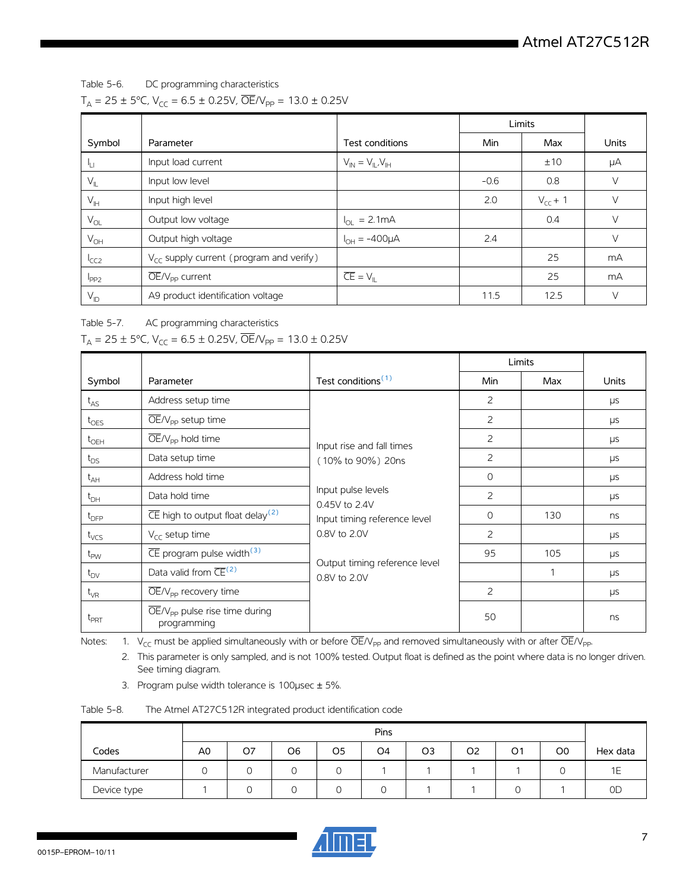Table 5-6. DC programming characteristics

 $T_A = 25 \pm 5^{\circ}$ C, V<sub>CC</sub> = 6.5 ± 0.25V,  $\overline{OE}/V_{pp} = 13.0 \pm 0.25 V$ 

|                              |                                                     |                                 | Limits |              |        |
|------------------------------|-----------------------------------------------------|---------------------------------|--------|--------------|--------|
| Symbol                       | Parameter                                           | Test conditions                 | Min    | Max          | Units  |
| ŀц                           | Input load current                                  | $V_{IN} = V_{IL}V_{IH}$         |        | ±10          | μA     |
| $V_{IL}$                     | Input low level                                     |                                 | $-0.6$ | 0.8          | V      |
| $V_{\text{IH}}$              | Input high level                                    |                                 | 2.0    | $V_{CC}$ + 1 | $\vee$ |
| $\mathsf{V}_{\mathsf{OL}}$   | Output low voltage                                  | $I_{OL} = 2.1mA$                |        | 0.4          | V      |
| $V_{OH}$                     | Output high voltage                                 | $I_{OH} = -400 \mu A$           | 2.4    |              | $\vee$ |
| <sup>I</sup> CC <sub>2</sub> | $V_{\text{CC}}$ supply current (program and verify) |                                 |        | 25           | mA     |
| $I_{PP2}$                    | $\overline{\text{OE}}/V_{\text{pp}}$ current        | $\overline{CE} = V_{\parallel}$ |        | 25           | mA     |
| $V_{ID}$                     | A9 product identification voltage                   |                                 | 11.5   | 12.5         | V      |

Table 5-7. AC programming characteristics

 $T_A = 25 \pm 5^{\circ}$ C, V<sub>CC</sub> = 6.5  $\pm$  0.25V,  $\overline{OE}/V_{pp} = 13.0 \pm 0.25V$ 

|                  |                                                                     |                                                                     | Limits     |     |              |
|------------------|---------------------------------------------------------------------|---------------------------------------------------------------------|------------|-----|--------------|
| Symbol           | Parameter                                                           | Test conditions <sup>(1)</sup>                                      | <b>Min</b> | Max | <b>Units</b> |
| $t_{AS}$         | Address setup time                                                  |                                                                     | 2          |     | μs           |
| $t_{OES}$        | $OE/V_{\text{pp}}$ setup time                                       |                                                                     | 2          |     | μs           |
| $t_{\text{OEH}}$ | $\overline{OE}/V_{\text{pp}}$ hold time                             | Input rise and fall times                                           | 2          |     | μs           |
| $t_{DS}$         | Data setup time                                                     | (10% to 90%) 20ns                                                   | 2          |     | μs           |
| $t_{AH}$         | Address hold time                                                   | Input pulse levels<br>0.45V to 2.4V<br>Input timing reference level | $\circ$    |     | μs           |
| $t_{DH}$         | Data hold time                                                      |                                                                     | 2          |     | μs           |
| $t_{\text{DFP}}$ | $\overline{\text{CE}}$ high to output float delay <sup>(2)</sup>    |                                                                     | $\circ$    | 130 | ns           |
| $t_{VCS}$        | $V_{\text{CC}}$ setup time                                          | 0.8V to 2.0V                                                        | 2          |     | μs           |
| $t_{\text{PW}}$  | $\overline{\text{CE}}$ program pulse width <sup>(3)</sup>           | Output timing reference level<br>0.8V to 2.0V                       | 95         | 105 | <b>LIS</b>   |
| $t_{DV}$         | Data valid from $\overline{\text{CE}}^{(2)}$                        |                                                                     |            | 1   | μs           |
| $t_{VR}$         | $\overline{\text{OE}}/V_{\text{pp}}$ recovery time                  |                                                                     | 2          |     | μs           |
| $t_{PRT}$        | $\overline{OE}/V_{\text{pp}}$ pulse rise time during<br>programming |                                                                     | 50         |     | ns           |

<span id="page-6-1"></span><span id="page-6-0"></span>Notes: 1.  $V_{CC}$  must be applied simultaneously with or before  $\overline{OE}/V_{PP}$  and removed simultaneously with or after  $\overline{OE}/V_{PP}$ .

2. This parameter is only sampled, and is not 100% tested. Output float is defined as the point where data is no longer driven. See timing diagram.

3. Program pulse width tolerance is  $100$ µsec  $\pm$  5%.

<span id="page-6-2"></span>

| Table 5-8. | The Atmel AT27C512R integrated product identification code |  |  |
|------------|------------------------------------------------------------|--|--|
|            |                                                            |  |  |

|              | Pins           |    |                |                |                |                |                |                |                |           |
|--------------|----------------|----|----------------|----------------|----------------|----------------|----------------|----------------|----------------|-----------|
| Codes        | A <sub>0</sub> | O7 | O <sub>6</sub> | O <sub>5</sub> | O <sub>4</sub> | O <sub>3</sub> | O <sub>2</sub> | O <sub>1</sub> | O <sub>O</sub> | Hex data  |
| Manufacturer |                |    |                |                |                |                |                |                |                |           |
| Device type  |                |    |                |                | 0              |                |                |                |                | <b>OD</b> |

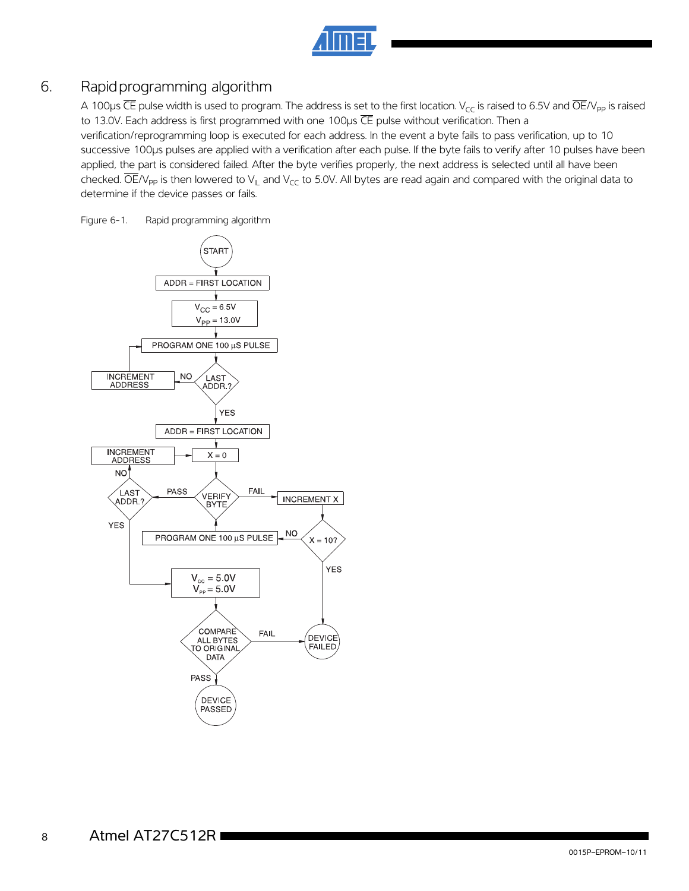

## 6. Rapidprogramming algorithm

A 100 $\mu$ s CE pulse width is used to program. The address is set to the first location. V<sub>CC</sub> is raised to 6.5V and OE/V<sub>pp</sub> is raised to 13.0V. Each address is first programmed with one 100us CE pulse without verification. Then a verification/reprogramming loop is executed for each address. In the event a byte fails to pass verification, up to 10 successive 100µs pulses are applied with a verification after each pulse. If the byte fails to verify after 10 pulses have been applied, the part is considered failed. After the byte verifies properly, the next address is selected until all have been checked.  $\overline{OE}/V_{\text{PP}}$  is then lowered to  $V_{\text{IL}}$  and  $V_{\text{CC}}$  to 5.0V. All bytes are read again and compared with the original data to determine if the device passes or fails.

Figure 6-1. Rapid programming algorithm

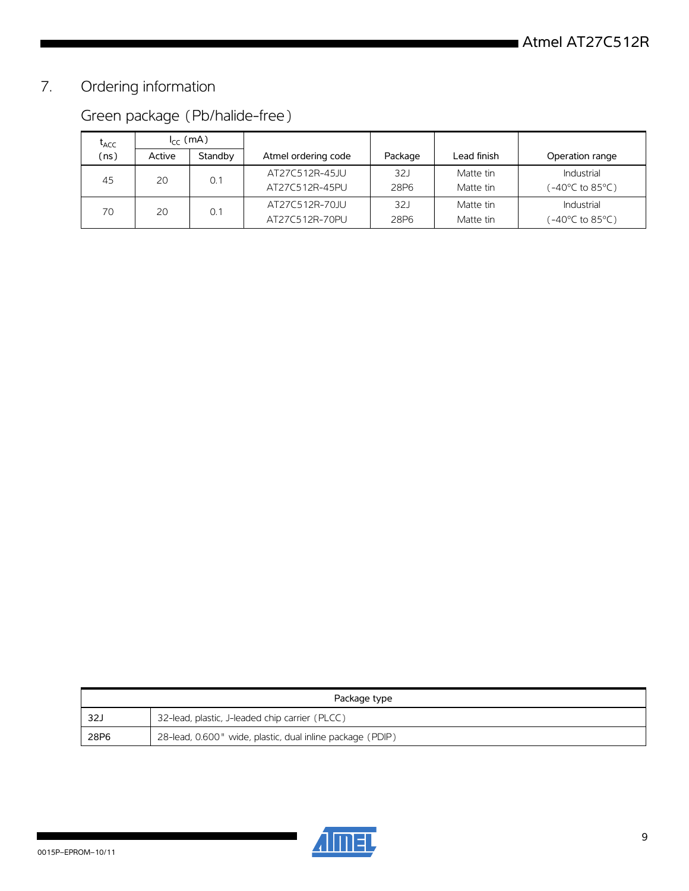# 7. Ordering information

# Green package (Pb/halide-free)

| $\mathsf{t}_{\mathsf{ACC}}$ | $I_{cc}$ (mA) |         |                     |                  |             |                 |
|-----------------------------|---------------|---------|---------------------|------------------|-------------|-----------------|
| (ns)                        | Active        | Standby | Atmel ordering code | Package          | Lead finish | Operation range |
| 45                          | 20            | 0.1     | AT27C512R-45JU      | 321              | Matte tin   | Industrial      |
|                             |               |         | AT27C512R-45PU      | 28P <sub>6</sub> | Matte tin   | (-40°C to 85°C) |
| 70                          | 20            | 0.1     | AT27C512R-70JU      | 32J              | Matte tin   | Industrial      |
|                             |               |         | AT27C512R-70PU      | 28P <sub>6</sub> | Matte tin   | (−40°C to 85°C) |

| Package type |                                                           |  |  |  |  |
|--------------|-----------------------------------------------------------|--|--|--|--|
| - 32J        | 32-lead, plastic, J-leaded chip carrier (PLCC)            |  |  |  |  |
| 28P6         | 28-lead, 0.600" wide, plastic, dual inline package (PDIP) |  |  |  |  |

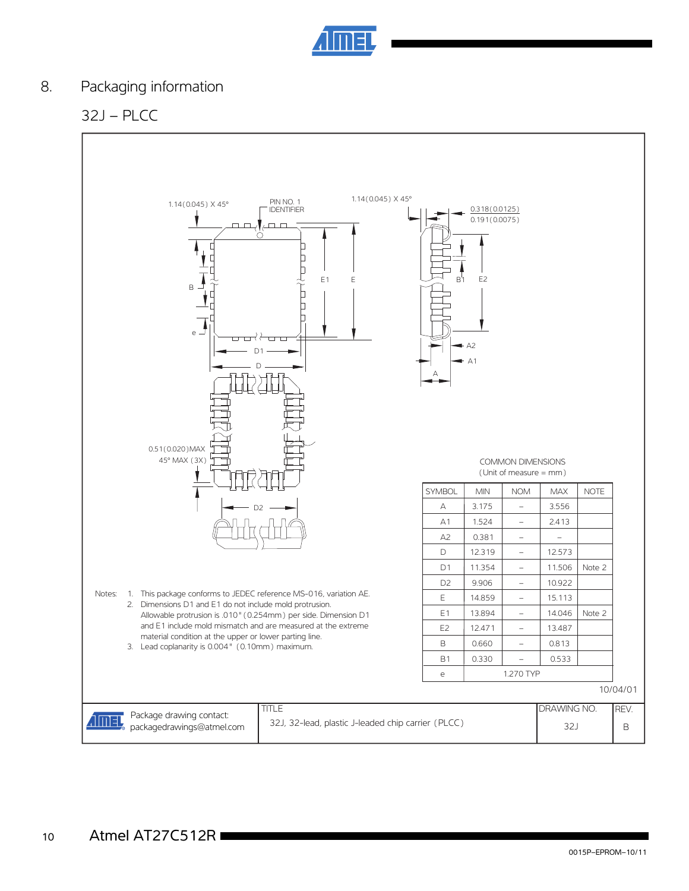

## 8. Packaging information

## 32J – PLCC

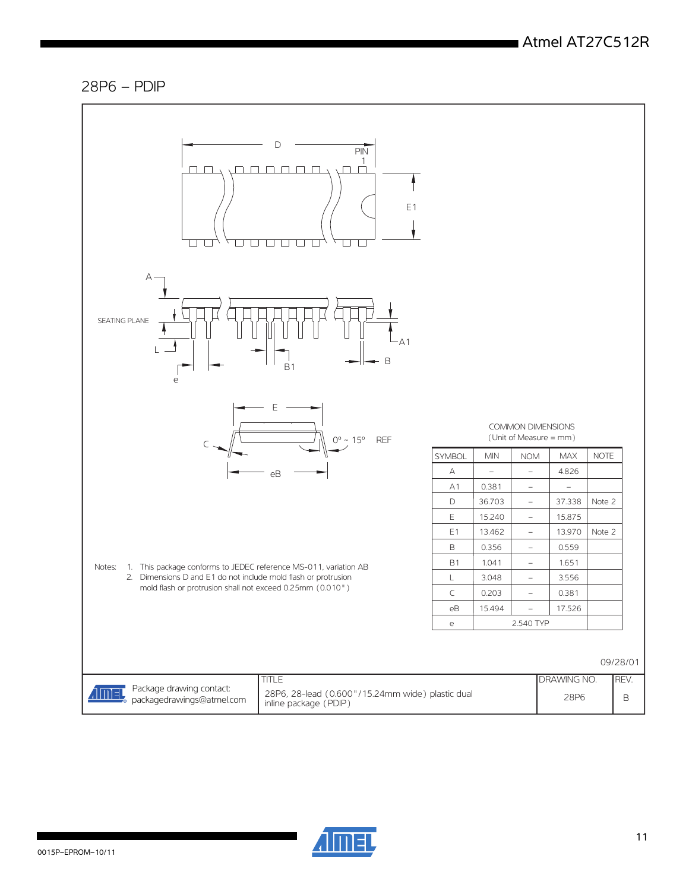### 28P6 – PDIP



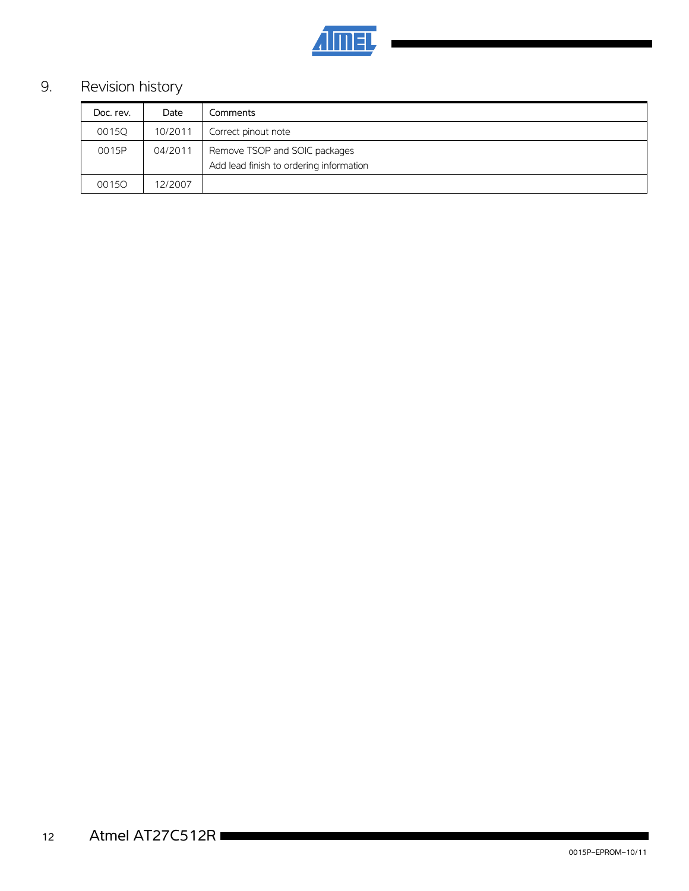

# 9. Revision history

| Doc. rev. | Date    | Comments                                                                 |  |
|-----------|---------|--------------------------------------------------------------------------|--|
| 0015Q     | 10/2011 | Correct pinout note                                                      |  |
| 0015P     | 04/2011 | Remove TSOP and SOIC packages<br>Add lead finish to ordering information |  |
| 00150     | 12/2007 |                                                                          |  |